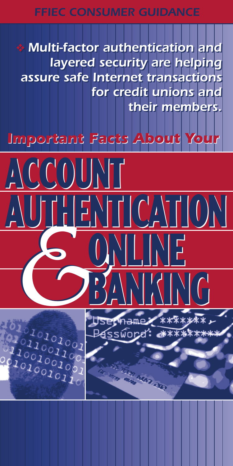#### *FFIEC CONSUMER GUIDANCE*

❖ *Multi-factor authentication and* ❖ *Multi-factor authentication and layered security are helping layered security are helping assure safe Internet transactions assure safe Internet transactions for credit unions and for credit unions and their members. their members.*

# *Important Facts About Your Important Facts About Your*

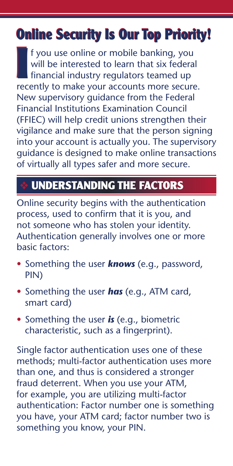# **Online Security Is Our Top Priority! Online Security Is Our Top Priority!**

If you use online or mobile banking, you will be interested to learn that six federal financial industry regulators teamed up recently to make your accounts more secure. f you use online or mobile banking, you will be interested to learn that six federal fi nancial industry regulators teamed up New supervisory guidance from the Federal Financial Institutions Examination Council (FFIEC) will help credit unions strengthen their vigilance and make sure that the person signing into your account is actually you. The supervisory guidance is designed to make online transactions of virtually all types safer and more secure.

# ❖ **UNDERSTANDING THE FACTORS**

Online security begins with the authentication process, used to confirm that it is you, and not someone who has stolen your identity. Authentication generally involves one or more basic factors:

- Something the user *knows* (e.g., password, PIN)
- Something the user *has* (e.g., ATM card, smart card)
- Something the user *is* (e.g., biometric characteristic, such as a fingerprint).

Single factor authentication uses one of these methods; multi-factor authentication uses more than one, and thus is considered a stronger fraud deterrent. When you use your ATM, for example, you are utilizing multi-factor authentication: Factor number one is something you have, your ATM card; factor number two is something you know, your PIN.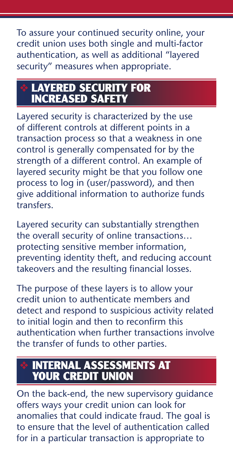To assure your continued security online, your credit union uses both single and multi-factor authentication, as well as additional "layered security" measures when appropriate.

## ❖ **LAYERED SECURITY FOR INCREASED SAFETY**

Layered security is characterized by the use of different controls at different points in a transaction process so that a weakness in one control is generally compensated for by the strength of a different control. An example of layered security might be that you follow one process to log in (user/password), and then give additional information to authorize funds **transfers** 

Layered security can substantially strengthen the overall security of online transactions… protecting sensitive member information, preventing identity theft, and reducing account takeovers and the resulting financial losses.

The purpose of these layers is to allow your credit union to authenticate members and detect and respond to suspicious activity related to initial login and then to reconfirm this authentication when further transactions involve the transfer of funds to other parties.

### ❖ **INTERNAL ASSESSMENTS AT YOUR CREDIT UNION**

On the back-end, the new supervisory guidance offers ways your credit union can look for anomalies that could indicate fraud. The goal is to ensure that the level of authentication called for in a particular transaction is appropriate to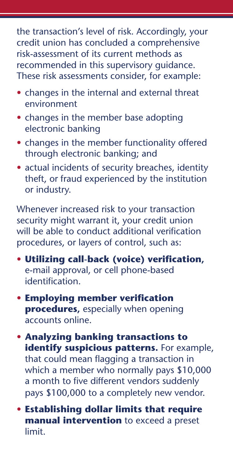the transaction's level of risk. Accordingly, your credit union has concluded a comprehensive risk-assessment of its current methods as recommended in this supervisory guidance. These risk assessments consider, for example:

- changes in the internal and external threat environment
- changes in the member base adopting electronic banking
- changes in the member functionality offered through electronic banking; and
- actual incidents of security breaches, identity theft, or fraud experienced by the institution or industry.

Whenever increased risk to your transaction security might warrant it, your credit union will be able to conduct additional verification procedures, or layers of control, such as:

- Utilizing call-back (voice) verification, e-mail approval, or cell phone-based identification
- **Employing member verification procedures**, especially when opening accounts online.
- **Analyzing banking transactions to identify suspicious patterns.** For example, that could mean flagging a transaction in which a member who normally pays \$10,000 a month to five different vendors suddenly pays \$100,000 to a completely new vendor.
- **Establishing dollar limits that require manual intervention** to exceed a preset limit.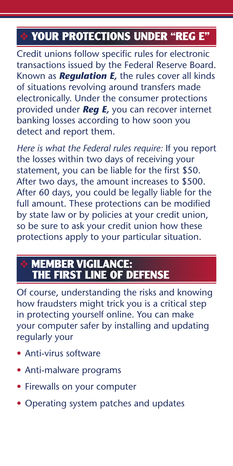## ❖ **YOUR PROTECTIONS UNDER "REG E"**

Credit unions follow specific rules for electronic transactions issued by the Federal Reserve Board. Known as *Regulation E,* the rules cover all kinds of situations revolving around transfers made electronically. Under the consumer protections provided under *Reg E,* you can recover internet banking losses according to how soon you detect and report them.

*Here is what the Federal rules require:* If you report the losses within two days of receiving your statement, you can be liable for the first \$50. After two days, the amount increases to \$500. After 60 days, you could be legally liable for the full amount. These protections can be modified by state law or by policies at your credit union, so be sure to ask your credit union how these protections apply to your particular situation.

#### ❖ **MEMBER VIGILANCE: THE FIRST LINE OF DEFENSE**

Of course, understanding the risks and knowing how fraudsters might trick you is a critical step in protecting yourself online. You can make your computer safer by installing and updating regularly your

- Anti-virus software
- Anti-malware programs
- Firewalls on your computer
- Operating system patches and updates